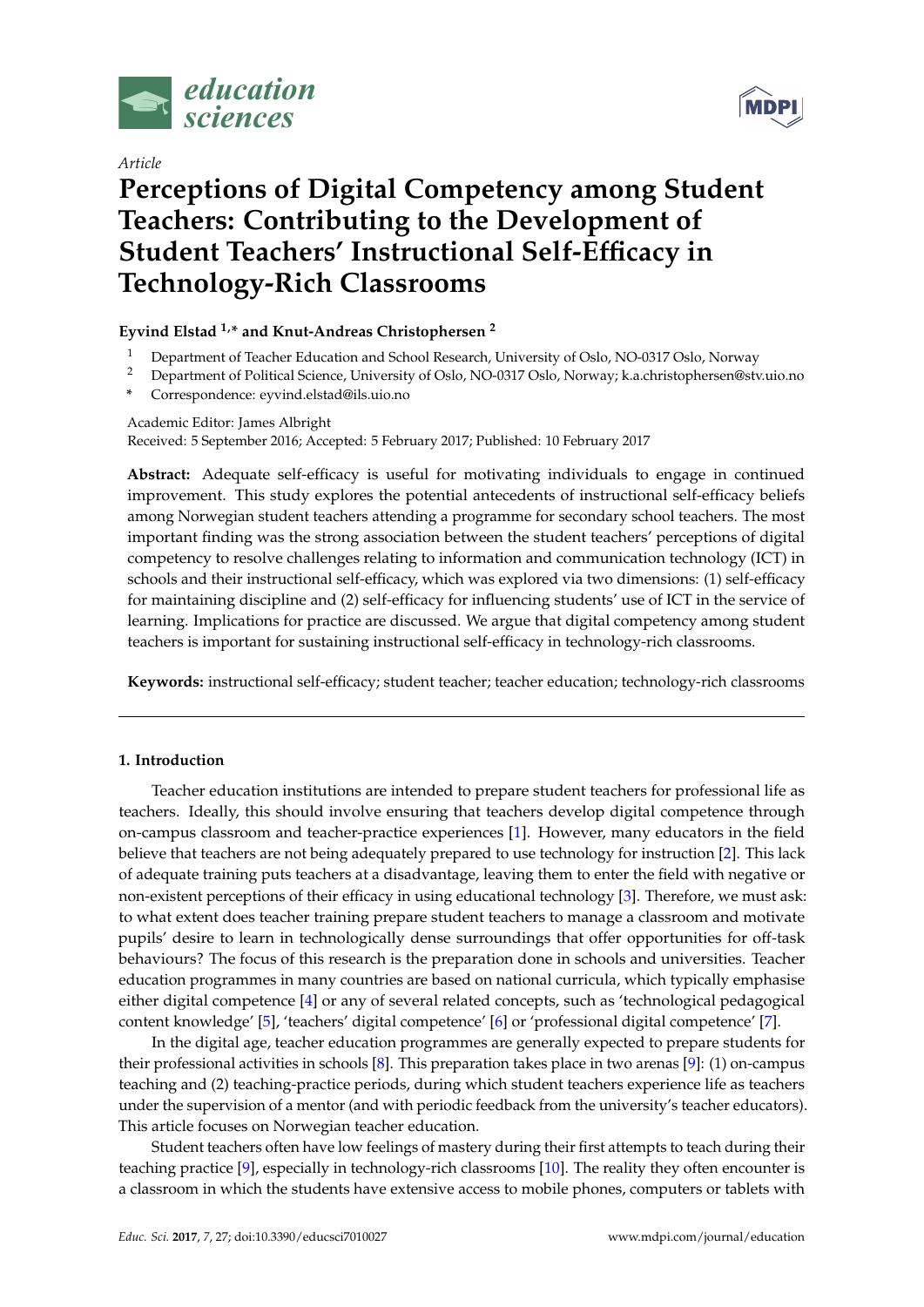

*Article*



# **Perceptions of Digital Competency among Student Teachers: Contributing to the Development of Student Teachers' Instructional Self-Efficacy in Technology-Rich Classrooms**

# **Eyvind Elstad 1,\* and Knut-Andreas Christophersen <sup>2</sup>**

- <sup>1</sup> Department of Teacher Education and School Research, University of Oslo, NO-0317 Oslo, Norway
- <sup>2</sup> Department of Political Science, University of Oslo, NO-0317 Oslo, Norway; k.a.christophersen@stv.uio.no
- **\*** Correspondence: eyvind.elstad@ils.uio.no

## Academic Editor: James Albright

Received: 5 September 2016; Accepted: 5 February 2017; Published: 10 February 2017

**Abstract:** Adequate self-efficacy is useful for motivating individuals to engage in continued improvement. This study explores the potential antecedents of instructional self-efficacy beliefs among Norwegian student teachers attending a programme for secondary school teachers. The most important finding was the strong association between the student teachers' perceptions of digital competency to resolve challenges relating to information and communication technology (ICT) in schools and their instructional self-efficacy, which was explored via two dimensions: (1) self-efficacy for maintaining discipline and (2) self-efficacy for influencing students' use of ICT in the service of learning. Implications for practice are discussed. We argue that digital competency among student teachers is important for sustaining instructional self-efficacy in technology-rich classrooms.

**Keywords:** instructional self-efficacy; student teacher; teacher education; technology-rich classrooms

## **1. Introduction**

Teacher education institutions are intended to prepare student teachers for professional life as teachers. Ideally, this should involve ensuring that teachers develop digital competence through on-campus classroom and teacher-practice experiences [\[1\]](#page-11-0). However, many educators in the field believe that teachers are not being adequately prepared to use technology for instruction [\[2\]](#page-11-1). This lack of adequate training puts teachers at a disadvantage, leaving them to enter the field with negative or non-existent perceptions of their efficacy in using educational technology [\[3\]](#page-11-2). Therefore, we must ask: to what extent does teacher training prepare student teachers to manage a classroom and motivate pupils' desire to learn in technologically dense surroundings that offer opportunities for off-task behaviours? The focus of this research is the preparation done in schools and universities. Teacher education programmes in many countries are based on national curricula, which typically emphasise either digital competence [\[4\]](#page-12-0) or any of several related concepts, such as 'technological pedagogical content knowledge' [\[5\]](#page-12-1), 'teachers' digital competence' [\[6\]](#page-12-2) or 'professional digital competence' [\[7\]](#page-12-3).

In the digital age, teacher education programmes are generally expected to prepare students for their professional activities in schools [\[8\]](#page-12-4). This preparation takes place in two arenas [\[9\]](#page-12-5): (1) on-campus teaching and (2) teaching-practice periods, during which student teachers experience life as teachers under the supervision of a mentor (and with periodic feedback from the university's teacher educators). This article focuses on Norwegian teacher education.

Student teachers often have low feelings of mastery during their first attempts to teach during their teaching practice [\[9\]](#page-12-5), especially in technology-rich classrooms [\[10\]](#page-12-6). The reality they often encounter is a classroom in which the students have extensive access to mobile phones, computers or tablets with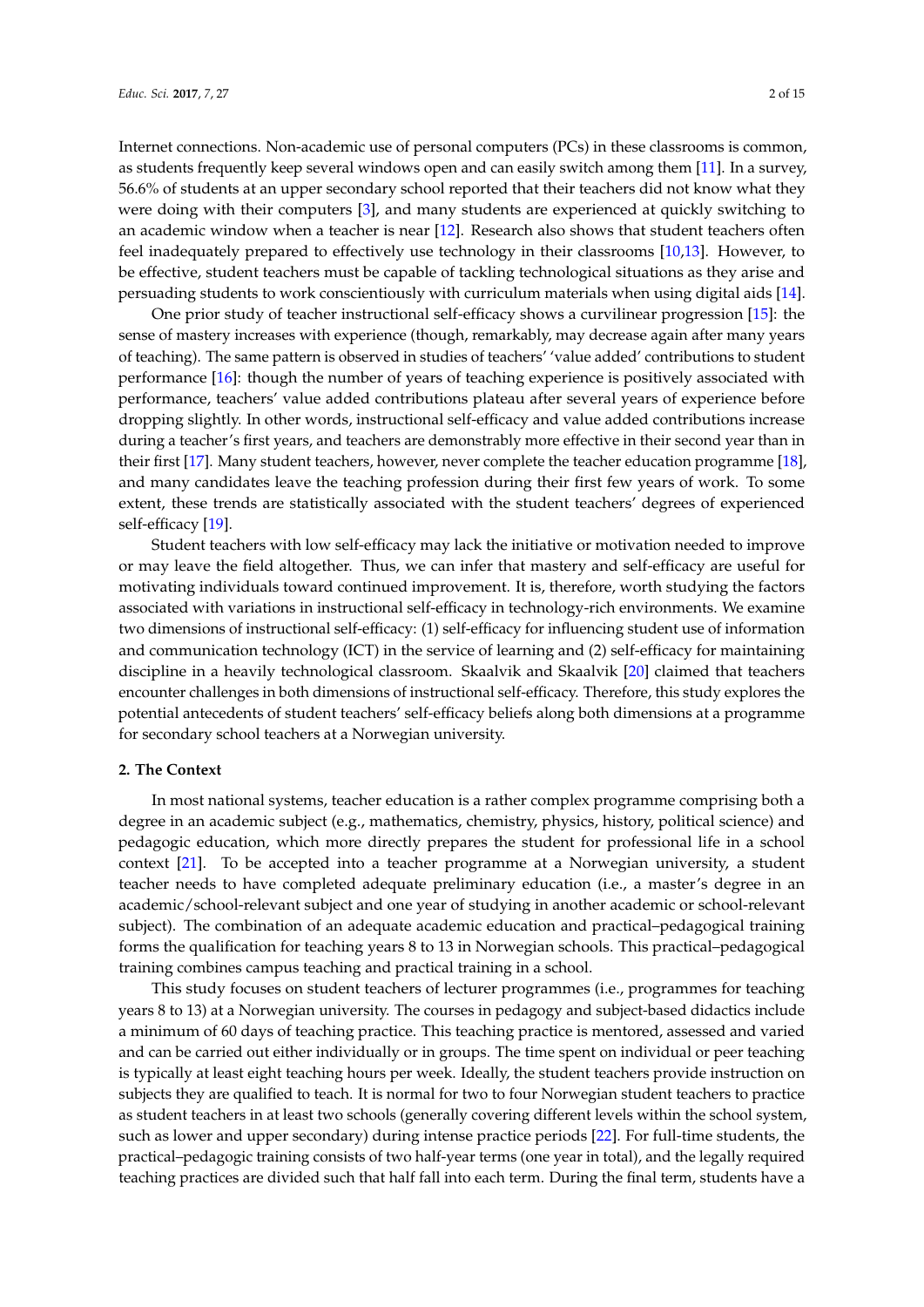Internet connections. Non-academic use of personal computers (PCs) in these classrooms is common, as students frequently keep several windows open and can easily switch among them [\[11\]](#page-12-7). In a survey, 56.6% of students at an upper secondary school reported that their teachers did not know what they were doing with their computers [\[3\]](#page-11-2), and many students are experienced at quickly switching to an academic window when a teacher is near [\[12\]](#page-12-8). Research also shows that student teachers often feel inadequately prepared to effectively use technology in their classrooms [\[10,](#page-12-6)[13\]](#page-12-9). However, to be effective, student teachers must be capable of tackling technological situations as they arise and persuading students to work conscientiously with curriculum materials when using digital aids [\[14\]](#page-12-10).

One prior study of teacher instructional self-efficacy shows a curvilinear progression [\[15\]](#page-12-11): the sense of mastery increases with experience (though, remarkably, may decrease again after many years of teaching). The same pattern is observed in studies of teachers' 'value added' contributions to student performance [\[16\]](#page-12-12): though the number of years of teaching experience is positively associated with performance, teachers' value added contributions plateau after several years of experience before dropping slightly. In other words, instructional self-efficacy and value added contributions increase during a teacher's first years, and teachers are demonstrably more effective in their second year than in their first [\[17\]](#page-12-13). Many student teachers, however, never complete the teacher education programme [\[18\]](#page-12-14), and many candidates leave the teaching profession during their first few years of work. To some extent, these trends are statistically associated with the student teachers' degrees of experienced self-efficacy [\[19\]](#page-12-15).

Student teachers with low self-efficacy may lack the initiative or motivation needed to improve or may leave the field altogether. Thus, we can infer that mastery and self-efficacy are useful for motivating individuals toward continued improvement. It is, therefore, worth studying the factors associated with variations in instructional self-efficacy in technology-rich environments. We examine two dimensions of instructional self-efficacy: (1) self-efficacy for influencing student use of information and communication technology (ICT) in the service of learning and (2) self-efficacy for maintaining discipline in a heavily technological classroom. Skaalvik and Skaalvik [\[20\]](#page-12-16) claimed that teachers encounter challenges in both dimensions of instructional self-efficacy. Therefore, this study explores the potential antecedents of student teachers' self-efficacy beliefs along both dimensions at a programme for secondary school teachers at a Norwegian university.

## **2. The Context**

In most national systems, teacher education is a rather complex programme comprising both a degree in an academic subject (e.g., mathematics, chemistry, physics, history, political science) and pedagogic education, which more directly prepares the student for professional life in a school context [\[21\]](#page-12-17). To be accepted into a teacher programme at a Norwegian university, a student teacher needs to have completed adequate preliminary education (i.e., a master's degree in an academic/school-relevant subject and one year of studying in another academic or school-relevant subject). The combination of an adequate academic education and practical–pedagogical training forms the qualification for teaching years 8 to 13 in Norwegian schools. This practical–pedagogical training combines campus teaching and practical training in a school.

This study focuses on student teachers of lecturer programmes (i.e., programmes for teaching years 8 to 13) at a Norwegian university. The courses in pedagogy and subject-based didactics include a minimum of 60 days of teaching practice. This teaching practice is mentored, assessed and varied and can be carried out either individually or in groups. The time spent on individual or peer teaching is typically at least eight teaching hours per week. Ideally, the student teachers provide instruction on subjects they are qualified to teach. It is normal for two to four Norwegian student teachers to practice as student teachers in at least two schools (generally covering different levels within the school system, such as lower and upper secondary) during intense practice periods [\[22\]](#page-12-18). For full-time students, the practical–pedagogic training consists of two half-year terms (one year in total), and the legally required teaching practices are divided such that half fall into each term. During the final term, students have a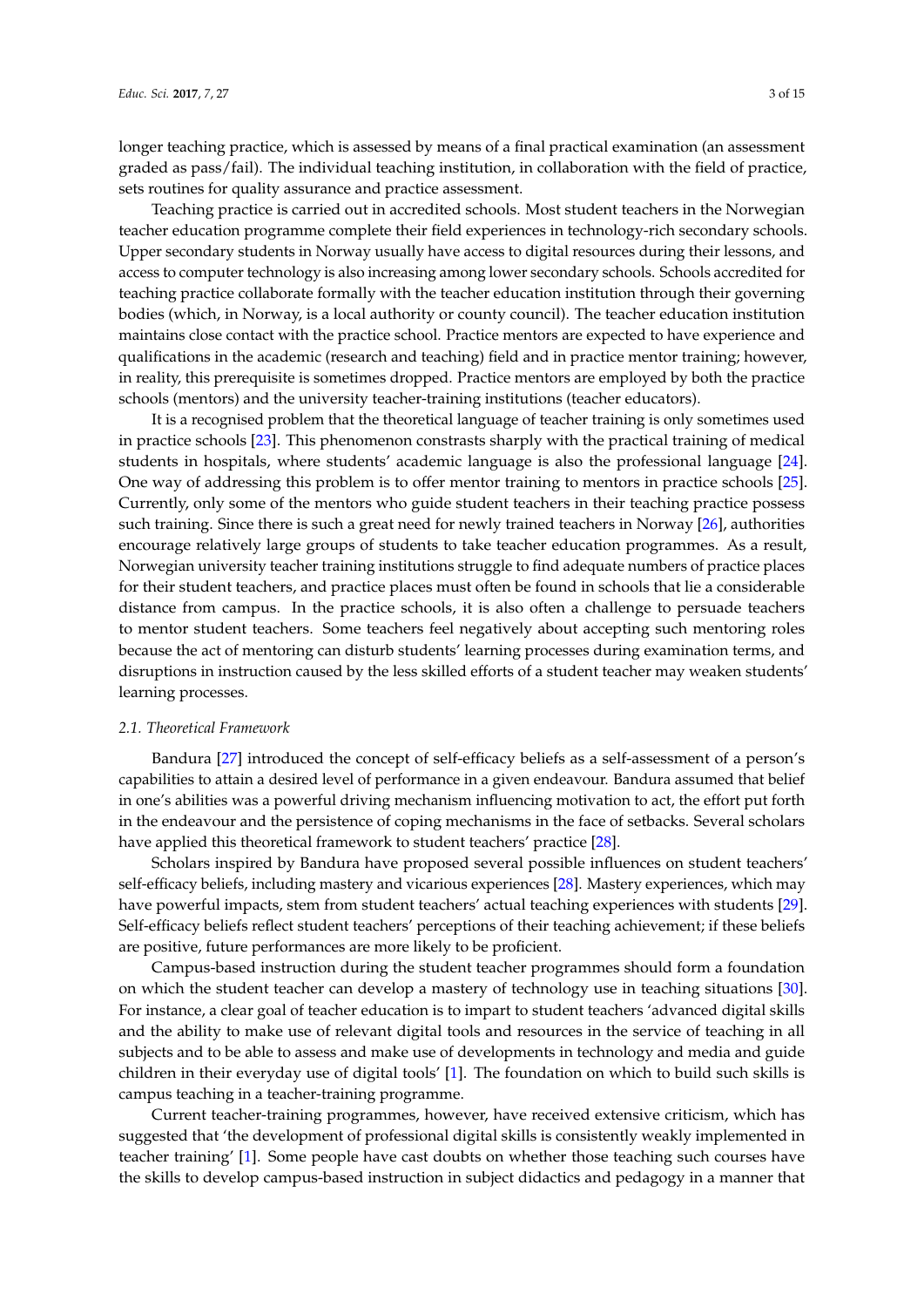longer teaching practice, which is assessed by means of a final practical examination (an assessment graded as pass/fail). The individual teaching institution, in collaboration with the field of practice, sets routines for quality assurance and practice assessment.

Teaching practice is carried out in accredited schools. Most student teachers in the Norwegian teacher education programme complete their field experiences in technology-rich secondary schools. Upper secondary students in Norway usually have access to digital resources during their lessons, and access to computer technology is also increasing among lower secondary schools. Schools accredited for teaching practice collaborate formally with the teacher education institution through their governing bodies (which, in Norway, is a local authority or county council). The teacher education institution maintains close contact with the practice school. Practice mentors are expected to have experience and qualifications in the academic (research and teaching) field and in practice mentor training; however, in reality, this prerequisite is sometimes dropped. Practice mentors are employed by both the practice schools (mentors) and the university teacher-training institutions (teacher educators).

It is a recognised problem that the theoretical language of teacher training is only sometimes used in practice schools [\[23\]](#page-12-19). This phenomenon constrasts sharply with the practical training of medical students in hospitals, where students' academic language is also the professional language [\[24\]](#page-12-20). One way of addressing this problem is to offer mentor training to mentors in practice schools [\[25\]](#page-12-21). Currently, only some of the mentors who guide student teachers in their teaching practice possess such training. Since there is such a great need for newly trained teachers in Norway [\[26\]](#page-12-22), authorities encourage relatively large groups of students to take teacher education programmes. As a result, Norwegian university teacher training institutions struggle to find adequate numbers of practice places for their student teachers, and practice places must often be found in schools that lie a considerable distance from campus. In the practice schools, it is also often a challenge to persuade teachers to mentor student teachers. Some teachers feel negatively about accepting such mentoring roles because the act of mentoring can disturb students' learning processes during examination terms, and disruptions in instruction caused by the less skilled efforts of a student teacher may weaken students' learning processes.

## *2.1. Theoretical Framework*

Bandura [\[27\]](#page-12-23) introduced the concept of self-efficacy beliefs as a self-assessment of a person's capabilities to attain a desired level of performance in a given endeavour. Bandura assumed that belief in one's abilities was a powerful driving mechanism influencing motivation to act, the effort put forth in the endeavour and the persistence of coping mechanisms in the face of setbacks. Several scholars have applied this theoretical framework to student teachers' practice [\[28\]](#page-13-0).

Scholars inspired by Bandura have proposed several possible influences on student teachers' self-efficacy beliefs, including mastery and vicarious experiences [\[28\]](#page-13-0). Mastery experiences, which may have powerful impacts, stem from student teachers' actual teaching experiences with students [\[29\]](#page-13-1). Self-efficacy beliefs reflect student teachers' perceptions of their teaching achievement; if these beliefs are positive, future performances are more likely to be proficient.

Campus-based instruction during the student teacher programmes should form a foundation on which the student teacher can develop a mastery of technology use in teaching situations [\[30\]](#page-13-2). For instance, a clear goal of teacher education is to impart to student teachers 'advanced digital skills and the ability to make use of relevant digital tools and resources in the service of teaching in all subjects and to be able to assess and make use of developments in technology and media and guide children in their everyday use of digital tools' [\[1\]](#page-11-0). The foundation on which to build such skills is campus teaching in a teacher-training programme.

Current teacher-training programmes, however, have received extensive criticism, which has suggested that 'the development of professional digital skills is consistently weakly implemented in teacher training' [\[1\]](#page-11-0). Some people have cast doubts on whether those teaching such courses have the skills to develop campus-based instruction in subject didactics and pedagogy in a manner that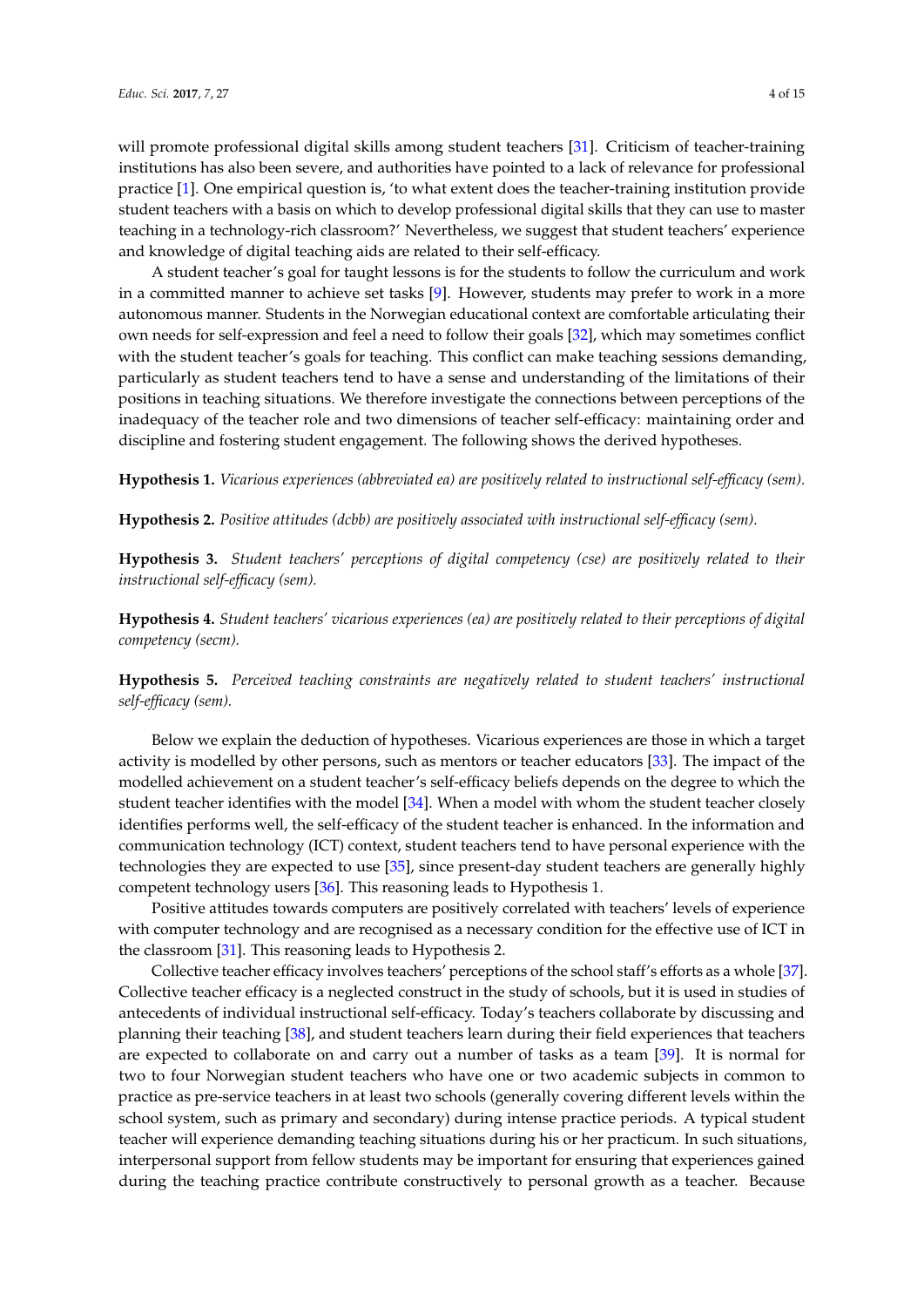will promote professional digital skills among student teachers [\[31\]](#page-13-3). Criticism of teacher-training institutions has also been severe, and authorities have pointed to a lack of relevance for professional practice [\[1\]](#page-11-0). One empirical question is, 'to what extent does the teacher-training institution provide student teachers with a basis on which to develop professional digital skills that they can use to master teaching in a technology-rich classroom?' Nevertheless, we suggest that student teachers' experience and knowledge of digital teaching aids are related to their self-efficacy.

A student teacher's goal for taught lessons is for the students to follow the curriculum and work in a committed manner to achieve set tasks [\[9\]](#page-12-5). However, students may prefer to work in a more autonomous manner. Students in the Norwegian educational context are comfortable articulating their own needs for self-expression and feel a need to follow their goals [\[32\]](#page-13-4), which may sometimes conflict with the student teacher's goals for teaching. This conflict can make teaching sessions demanding, particularly as student teachers tend to have a sense and understanding of the limitations of their positions in teaching situations. We therefore investigate the connections between perceptions of the inadequacy of the teacher role and two dimensions of teacher self-efficacy: maintaining order and discipline and fostering student engagement. The following shows the derived hypotheses.

**Hypothesis 1.** *Vicarious experiences (abbreviated ea) are positively related to instructional self-efficacy (sem).*

**Hypothesis 2.** *Positive attitudes (dcbb) are positively associated with instructional self-efficacy (sem).*

**Hypothesis 3.** *Student teachers' perceptions of digital competency (cse) are positively related to their instructional self-efficacy (sem).*

**Hypothesis 4.** *Student teachers' vicarious experiences (ea) are positively related to their perceptions of digital competency (secm).*

**Hypothesis 5.** *Perceived teaching constraints are negatively related to student teachers' instructional self-efficacy (sem).*

Below we explain the deduction of hypotheses. Vicarious experiences are those in which a target activity is modelled by other persons, such as mentors or teacher educators [\[33\]](#page-13-5). The impact of the modelled achievement on a student teacher's self-efficacy beliefs depends on the degree to which the student teacher identifies with the model [\[34\]](#page-13-6). When a model with whom the student teacher closely identifies performs well, the self-efficacy of the student teacher is enhanced. In the information and communication technology (ICT) context, student teachers tend to have personal experience with the technologies they are expected to use [\[35\]](#page-13-7), since present-day student teachers are generally highly competent technology users [\[36\]](#page-13-8). This reasoning leads to Hypothesis 1.

Positive attitudes towards computers are positively correlated with teachers' levels of experience with computer technology and are recognised as a necessary condition for the effective use of ICT in the classroom [\[31\]](#page-13-3). This reasoning leads to Hypothesis 2.

Collective teacher efficacy involves teachers' perceptions of the school staff's efforts as a whole [\[37\]](#page-13-9). Collective teacher efficacy is a neglected construct in the study of schools, but it is used in studies of antecedents of individual instructional self-efficacy. Today's teachers collaborate by discussing and planning their teaching [\[38\]](#page-13-10), and student teachers learn during their field experiences that teachers are expected to collaborate on and carry out a number of tasks as a team [\[39\]](#page-13-11). It is normal for two to four Norwegian student teachers who have one or two academic subjects in common to practice as pre-service teachers in at least two schools (generally covering different levels within the school system, such as primary and secondary) during intense practice periods. A typical student teacher will experience demanding teaching situations during his or her practicum. In such situations, interpersonal support from fellow students may be important for ensuring that experiences gained during the teaching practice contribute constructively to personal growth as a teacher. Because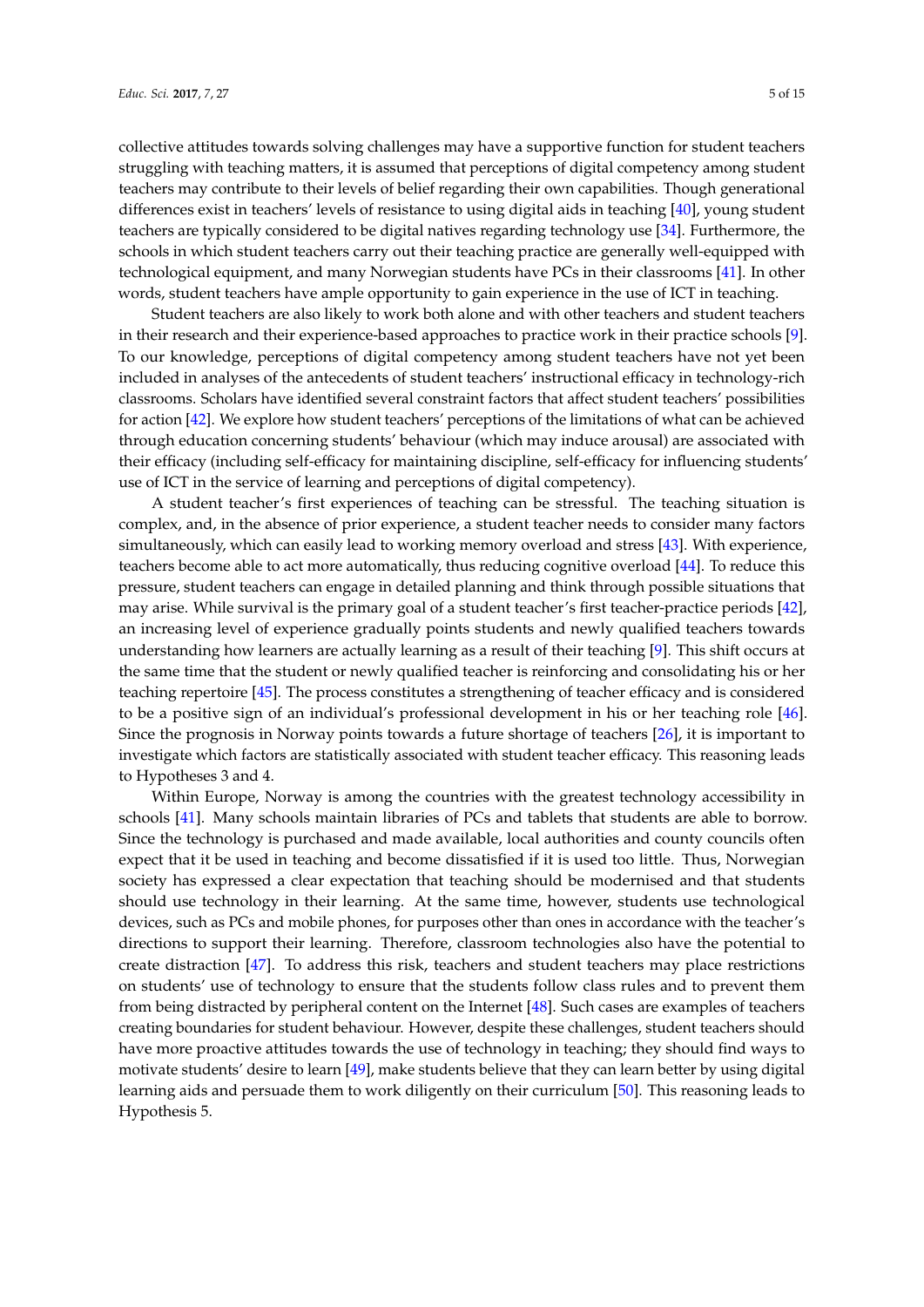collective attitudes towards solving challenges may have a supportive function for student teachers struggling with teaching matters, it is assumed that perceptions of digital competency among student teachers may contribute to their levels of belief regarding their own capabilities. Though generational differences exist in teachers' levels of resistance to using digital aids in teaching [\[40\]](#page-13-12), young student teachers are typically considered to be digital natives regarding technology use [\[34\]](#page-13-6). Furthermore, the schools in which student teachers carry out their teaching practice are generally well-equipped with technological equipment, and many Norwegian students have PCs in their classrooms [\[41\]](#page-13-13). In other words, student teachers have ample opportunity to gain experience in the use of ICT in teaching.

Student teachers are also likely to work both alone and with other teachers and student teachers in their research and their experience-based approaches to practice work in their practice schools [\[9\]](#page-12-5). To our knowledge, perceptions of digital competency among student teachers have not yet been included in analyses of the antecedents of student teachers' instructional efficacy in technology-rich classrooms. Scholars have identified several constraint factors that affect student teachers' possibilities for action [\[42\]](#page-13-14). We explore how student teachers' perceptions of the limitations of what can be achieved through education concerning students' behaviour (which may induce arousal) are associated with their efficacy (including self-efficacy for maintaining discipline, self-efficacy for influencing students' use of ICT in the service of learning and perceptions of digital competency).

A student teacher's first experiences of teaching can be stressful. The teaching situation is complex, and, in the absence of prior experience, a student teacher needs to consider many factors simultaneously, which can easily lead to working memory overload and stress [\[43\]](#page-13-15). With experience, teachers become able to act more automatically, thus reducing cognitive overload [\[44\]](#page-13-16). To reduce this pressure, student teachers can engage in detailed planning and think through possible situations that may arise. While survival is the primary goal of a student teacher's first teacher-practice periods [\[42\]](#page-13-14), an increasing level of experience gradually points students and newly qualified teachers towards understanding how learners are actually learning as a result of their teaching [\[9\]](#page-12-5). This shift occurs at the same time that the student or newly qualified teacher is reinforcing and consolidating his or her teaching repertoire [\[45\]](#page-13-17). The process constitutes a strengthening of teacher efficacy and is considered to be a positive sign of an individual's professional development in his or her teaching role [\[46\]](#page-13-18). Since the prognosis in Norway points towards a future shortage of teachers [\[26\]](#page-12-22), it is important to investigate which factors are statistically associated with student teacher efficacy. This reasoning leads to Hypotheses 3 and 4.

Within Europe, Norway is among the countries with the greatest technology accessibility in schools [\[41\]](#page-13-13). Many schools maintain libraries of PCs and tablets that students are able to borrow. Since the technology is purchased and made available, local authorities and county councils often expect that it be used in teaching and become dissatisfied if it is used too little. Thus, Norwegian society has expressed a clear expectation that teaching should be modernised and that students should use technology in their learning. At the same time, however, students use technological devices, such as PCs and mobile phones, for purposes other than ones in accordance with the teacher's directions to support their learning. Therefore, classroom technologies also have the potential to create distraction [\[47\]](#page-13-19). To address this risk, teachers and student teachers may place restrictions on students' use of technology to ensure that the students follow class rules and to prevent them from being distracted by peripheral content on the Internet [\[48\]](#page-13-20). Such cases are examples of teachers creating boundaries for student behaviour. However, despite these challenges, student teachers should have more proactive attitudes towards the use of technology in teaching; they should find ways to motivate students' desire to learn [\[49\]](#page-13-21), make students believe that they can learn better by using digital learning aids and persuade them to work diligently on their curriculum [\[50\]](#page-13-22). This reasoning leads to Hypothesis 5.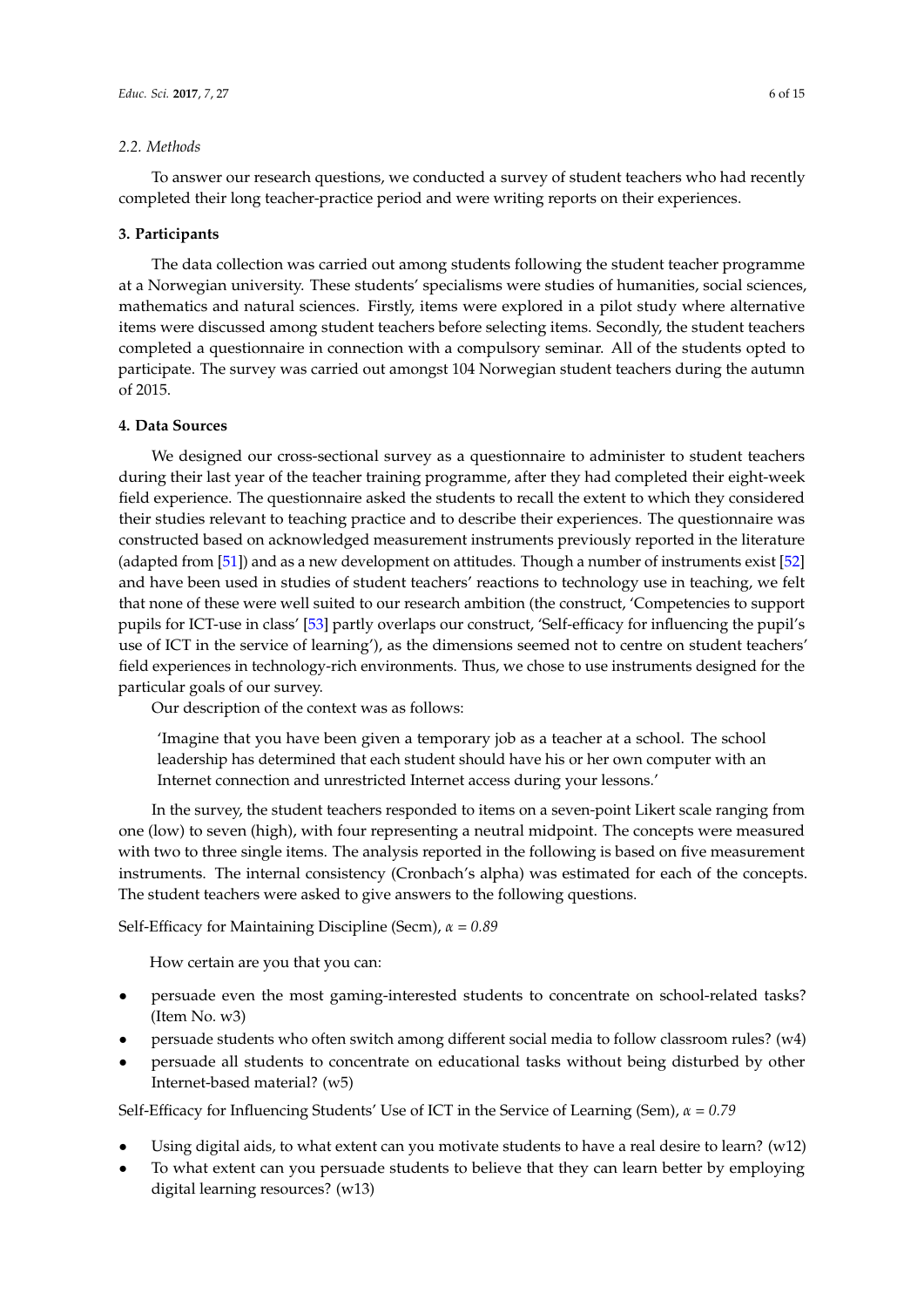## *2.2. Methods*

To answer our research questions, we conducted a survey of student teachers who had recently completed their long teacher-practice period and were writing reports on their experiences.

#### **3. Participants**

The data collection was carried out among students following the student teacher programme at a Norwegian university. These students' specialisms were studies of humanities, social sciences, mathematics and natural sciences. Firstly, items were explored in a pilot study where alternative items were discussed among student teachers before selecting items. Secondly, the student teachers completed a questionnaire in connection with a compulsory seminar. All of the students opted to participate. The survey was carried out amongst 104 Norwegian student teachers during the autumn of 2015.

## **4. Data Sources**

We designed our cross-sectional survey as a questionnaire to administer to student teachers during their last year of the teacher training programme, after they had completed their eight-week field experience. The questionnaire asked the students to recall the extent to which they considered their studies relevant to teaching practice and to describe their experiences. The questionnaire was constructed based on acknowledged measurement instruments previously reported in the literature (adapted from [\[51\]](#page-13-23)) and as a new development on attitudes. Though a number of instruments exist [\[52\]](#page-14-0) and have been used in studies of student teachers' reactions to technology use in teaching, we felt that none of these were well suited to our research ambition (the construct, 'Competencies to support pupils for ICT-use in class' [\[53\]](#page-14-1) partly overlaps our construct, 'Self-efficacy for influencing the pupil's use of ICT in the service of learning'), as the dimensions seemed not to centre on student teachers' field experiences in technology-rich environments. Thus, we chose to use instruments designed for the particular goals of our survey.

Our description of the context was as follows:

'Imagine that you have been given a temporary job as a teacher at a school. The school leadership has determined that each student should have his or her own computer with an Internet connection and unrestricted Internet access during your lessons.'

In the survey, the student teachers responded to items on a seven-point Likert scale ranging from one (low) to seven (high), with four representing a neutral midpoint. The concepts were measured with two to three single items. The analysis reported in the following is based on five measurement instruments. The internal consistency (Cronbach's alpha) was estimated for each of the concepts. The student teachers were asked to give answers to the following questions.

Self-Efficacy for Maintaining Discipline (Secm), *α* = *0.89*

How certain are you that you can:

- persuade even the most gaming-interested students to concentrate on school-related tasks? (Item No. w3)
- persuade students who often switch among different social media to follow classroom rules? (w4)
- persuade all students to concentrate on educational tasks without being disturbed by other Internet-based material? (w5)

Self-Efficacy for Influencing Students' Use of ICT in the Service of Learning (Sem), *α* = *0.79*

- Using digital aids, to what extent can you motivate students to have a real desire to learn?  $(w12)$
- To what extent can you persuade students to believe that they can learn better by employing digital learning resources? (w13)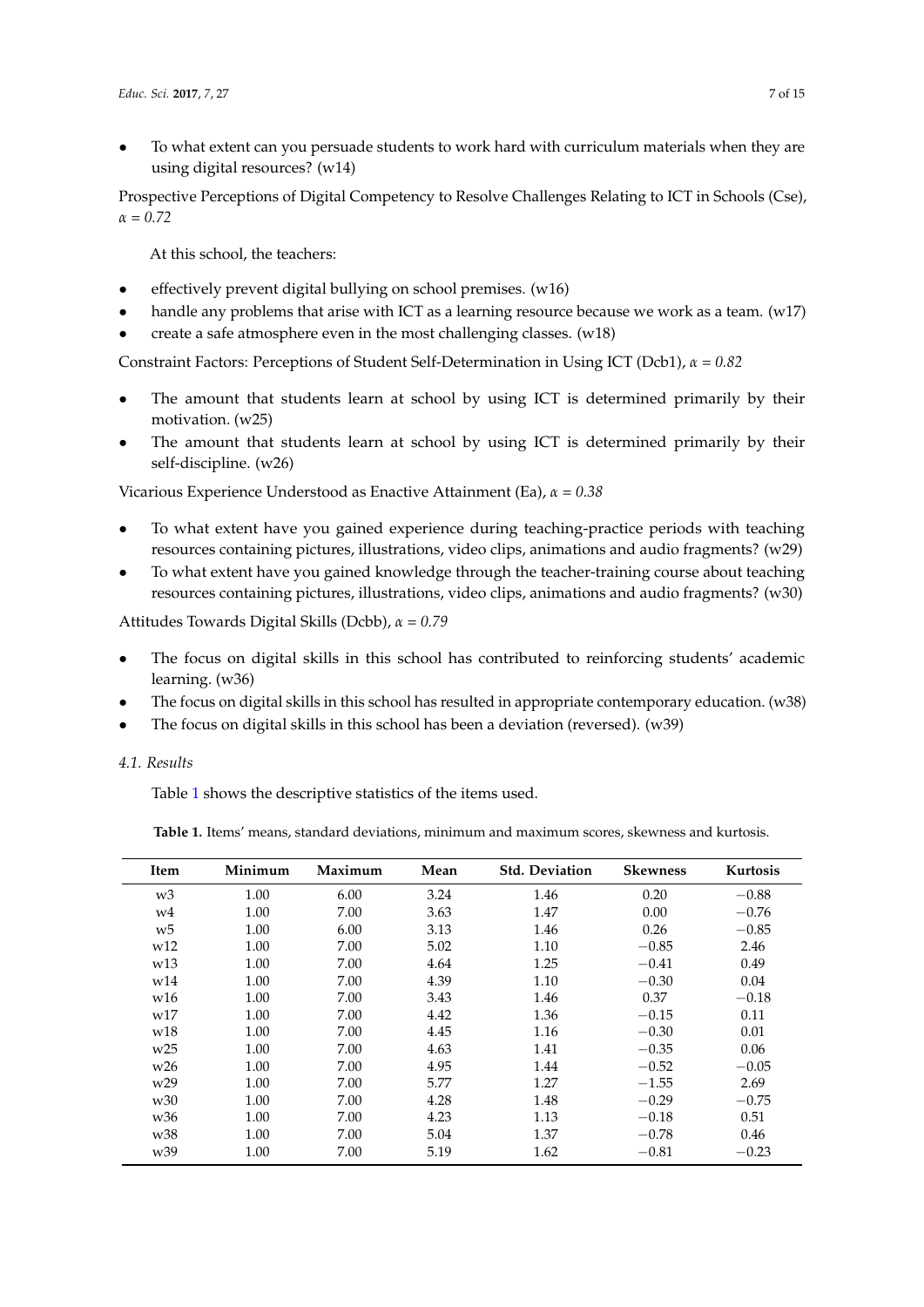• To what extent can you persuade students to work hard with curriculum materials when they are using digital resources? (w14)

Prospective Perceptions of Digital Competency to Resolve Challenges Relating to ICT in Schools (Cse),  $\alpha = 0.72$ 

At this school, the teachers:

- effectively prevent digital bullying on school premises. (w16)
- handle any problems that arise with ICT as a learning resource because we work as a team. (w17)
- create a safe atmosphere even in the most challenging classes.  $(w18)$

Constraint Factors: Perceptions of Student Self-Determination in Using ICT (Dcb1), *α* = *0.82*

- The amount that students learn at school by using ICT is determined primarily by their motivation. (w25)
- The amount that students learn at school by using ICT is determined primarily by their self-discipline. (w26)

Vicarious Experience Understood as Enactive Attainment (Ea), *α* = *0.38*

- To what extent have you gained experience during teaching-practice periods with teaching resources containing pictures, illustrations, video clips, animations and audio fragments? (w29)
- To what extent have you gained knowledge through the teacher-training course about teaching resources containing pictures, illustrations, video clips, animations and audio fragments? (w30)

Attitudes Towards Digital Skills (Dcbb), *α* = *0.79*

- The focus on digital skills in this school has contributed to reinforcing students' academic learning. (w36)
- The focus on digital skills in this school has resulted in appropriate contemporary education. (w38)
- The focus on digital skills in this school has been a deviation (reversed).  $(w39)$

*4.1. Results*

Table [1](#page-6-0) shows the descriptive statistics of the items used.

<span id="page-6-0"></span>**Table 1.** Items' means, standard deviations, minimum and maximum scores, skewness and kurtosis.

| Item            | Minimum | Maximum | Mean | <b>Std. Deviation</b> | <b>Skewness</b> | Kurtosis |
|-----------------|---------|---------|------|-----------------------|-----------------|----------|
| w3              | 1.00    | 6.00    | 3.24 | 1.46                  | 0.20            | $-0.88$  |
| w4              | 1.00    | 7.00    | 3.63 | 1.47                  | 0.00            | $-0.76$  |
| W <sub>5</sub>  | 1.00    | 6.00    | 3.13 | 1.46                  | 0.26            | $-0.85$  |
| W <sub>12</sub> | 1.00    | 7.00    | 5.02 | 1.10                  | $-0.85$         | 2.46     |
| W <sub>13</sub> | 1.00    | 7.00    | 4.64 | 1.25                  | $-0.41$         | 0.49     |
| w14             | 1.00    | 7.00    | 4.39 | 1.10                  | $-0.30$         | 0.04     |
| w16             | 1.00    | 7.00    | 3.43 | 1.46                  | 0.37            | $-0.18$  |
| W17             | 1.00    | 7.00    | 4.42 | 1.36                  | $-0.15$         | 0.11     |
| w18             | 1.00    | 7.00    | 4.45 | 1.16                  | $-0.30$         | 0.01     |
| w25             | 1.00    | 7.00    | 4.63 | 1.41                  | $-0.35$         | 0.06     |
| W <sub>26</sub> | 1.00    | 7.00    | 4.95 | 1.44                  | $-0.52$         | $-0.05$  |
| W <sub>29</sub> | 1.00    | 7.00    | 5.77 | 1.27                  | $-1.55$         | 2.69     |
| w <sub>30</sub> | 1.00    | 7.00    | 4.28 | 1.48                  | $-0.29$         | $-0.75$  |
| w <sub>36</sub> | 1.00    | 7.00    | 4.23 | 1.13                  | $-0.18$         | 0.51     |
| w38             | 1.00    | 7.00    | 5.04 | 1.37                  | $-0.78$         | 0.46     |
| w <sub>39</sub> | 1.00    | 7.00    | 5.19 | 1.62                  | $-0.81$         | $-0.23$  |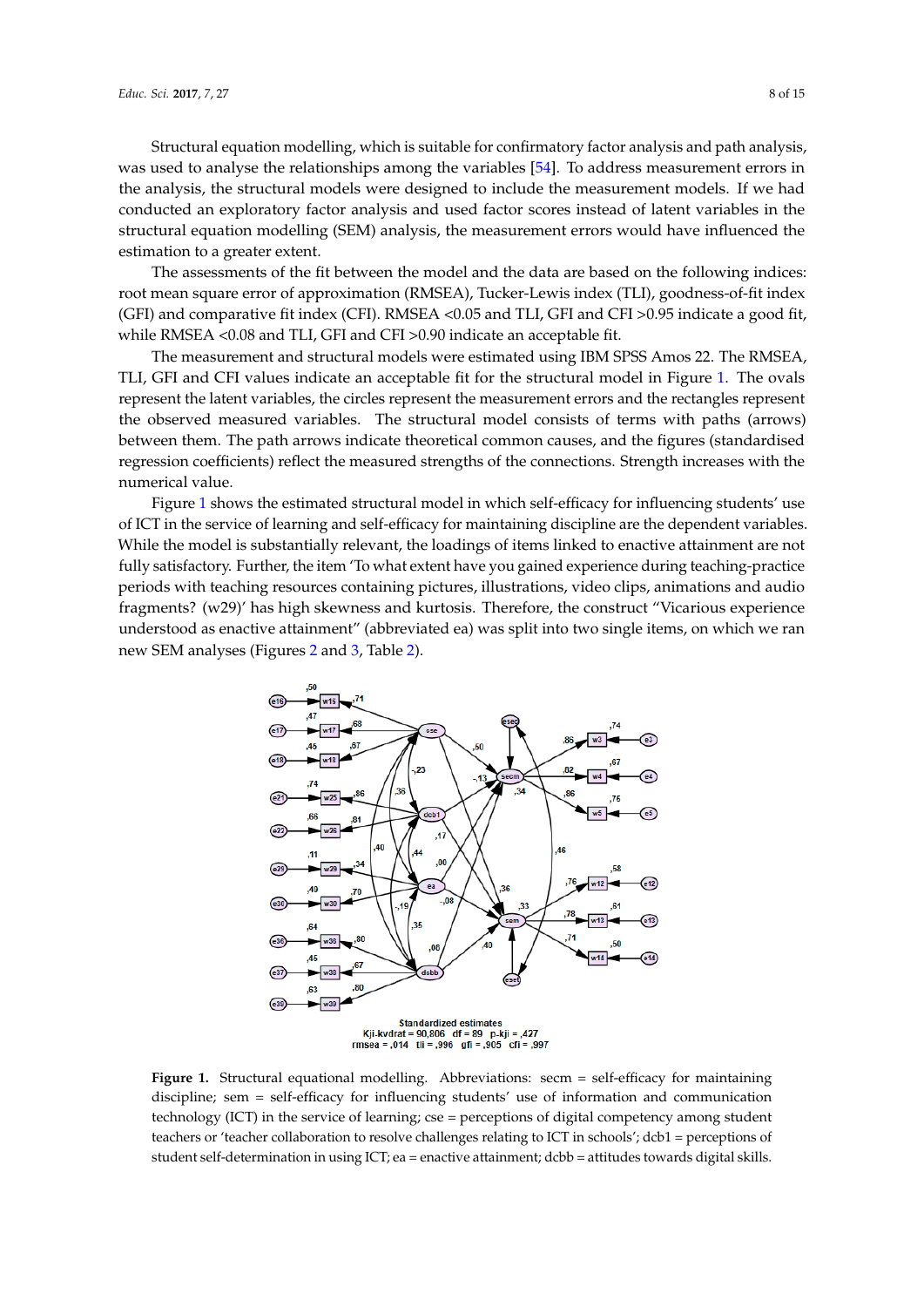Structural equation modelling, which is suitable for confirmatory factor analysis and path analysis, was used to analyse the relationships among the variables [\[54\]](#page-14-2). To address measurement errors in the analysis, the structural models were designed to include the measurement models. If we had conducted an exploratory factor analysis and used factor scores instead of latent variables in the structural equation modelling (SEM) analysis, the measurement errors would have influenced the estimation to a greater extent.

The assessments of the fit between the model and the data are based on the following indices: *Educ. Sci.* **2017**, *7*, 27 8 of 15 root mean square error of approximation (RMSEA), Tucker-Lewis index (TLI), goodness-of-fit index (GFI) and comparative fit index (CFI). RMSEA <0.05 and TLI, GFI and CFI >0.95 indicate a good fit, while RMSEA <0.08 and TLI, GFI and CFI >0.90 indicate an acceptable fit.  $t_{\text{SUSY}}$  modelling (SEM), the measurement  $\frac{1}{2}$  and  $\frac{1}{2}$  and  $\frac{1}{2}$  is  $\frac{1}{2}$  and  $\frac{1}{2}$  influenced in

The measurement and structural models were estimated using IBM SPSS Amos 22. The RMSEA, TLI, GFI and CFI values indicate an acceptable fit for the structural model in Figure [1.](#page-7-0) The ovals represent the latent variables, the circles represent the measurement errors and the rectangles represent the observed measured variables. The structural model consists of terms with paths (arrows) between them. The path arrows indicate theoretical common causes, and the figures (standardised regression coefficients) reflect the measured strengths of the connections. Strength increases with the numerical value. and and the Variables, are cheres represent are incasarement on represent the observed measured variables. The structural model consists of terms with paths with paths with paths with paths with paths with paths with paths with paths with paths with paths with paths with paths with pat

ericar variae.<br>Figure 1 shows the estimated structural model in which self-efficacy for influencing students' use of ICT in the service of learning and self-efficacy for maintaining discipline are the dependent variables. While the model is substantially relevant, the loadings of items linked to enactive attainment are not fully satisfactory. Further, the item 'To what extent have you gained experience during teaching-practice periods with teaching resources containing pictures, illustrations, video clips, animations and audio fragments? (w29)' has high skewness and kurtosis. Therefore, the construct "Vicarious experience understood as enactive attainment" (abbreviated ea) was split into two single items, on which we ran new SEM analyses (Figures [2](#page-8-0) and [3,](#page-8-1) Table [2\)](#page-9-0).  $e$  I shows the estimated structural model in which self-efficacy for influencing stud actory. Further, the next forward extent have you gained experience during teaching construct  $C$  is enacted as  $A \cap T$  at tain  $\emptyset$ 

<span id="page-7-0"></span>

**Figure 1.** Structural equational modelling. Abbreviations: secm = self-efficacy for maintaining **Figure 1.** Structural equational modelling. Abbreviations: secm = self-efficacy for maintaining discipline; see  $\frac{d}{dt}$  for influencing studients' use of information and communication and communication and communication and communication and communication and communication and communication and communication and c discipline; sem = self-efficacy for influencing students' use of information and communication technology (ICT) in the service of learning; cse = perceptions of digital competency among student teachers or 'teacher collaboration to resolve challenges relating to ICT in schools'; dcb1 = perceptions of skills. student self-determination in using ICT; ea = enactive attainment; dcbb = attitudes towards digital skills.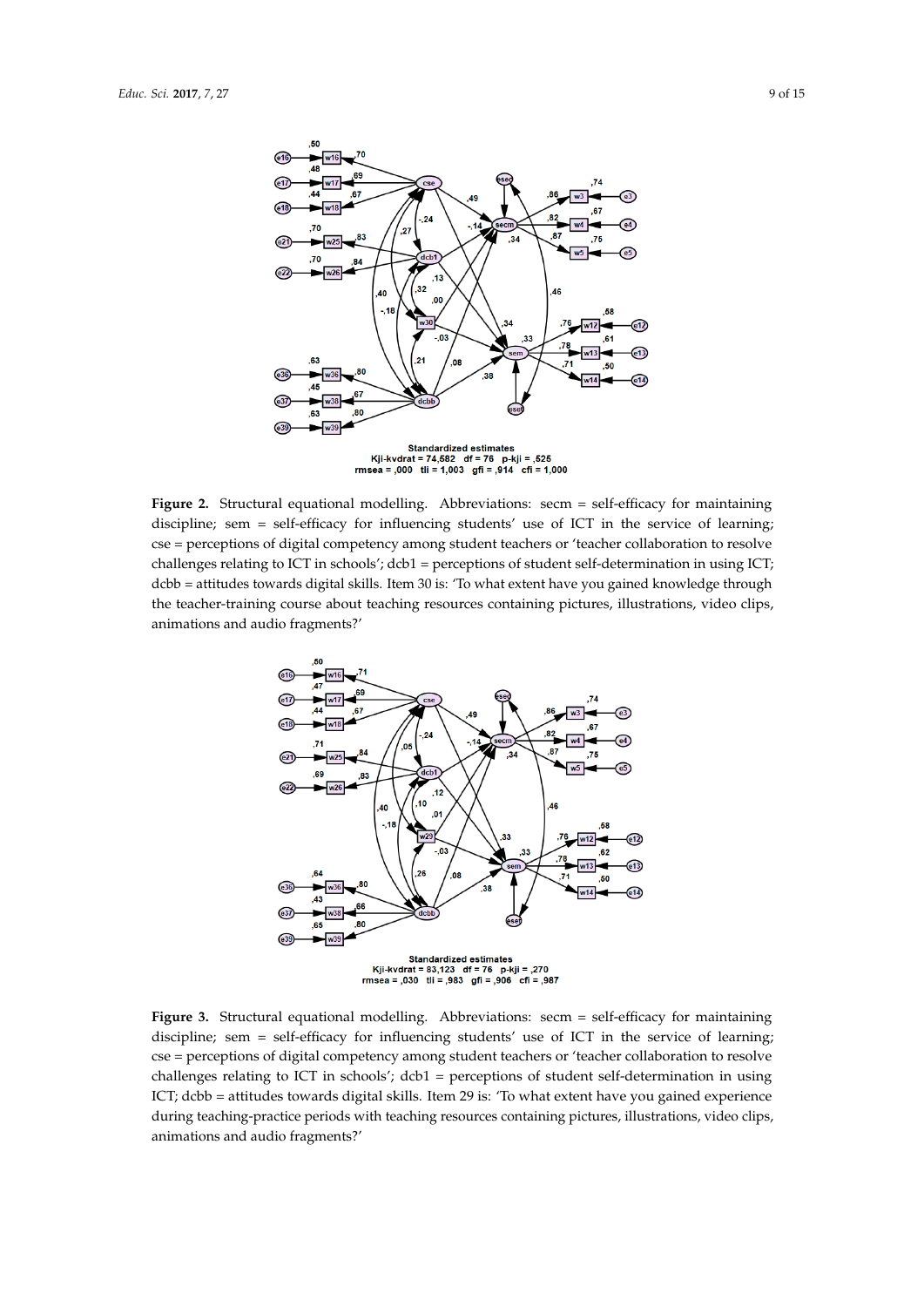<span id="page-8-0"></span>

**Figure 2.** Structural equational modelling. Abbreviations: secm = self-efficacy for maintaining **Figure 2.** Structural equational modelling. Abbreviations: secm = self-efficacy for maintaining discipline; sem = self-efficacy for influencing students' use of ICT in the service of learning; cse = perceptions of digital competency among student teachers or 'teacher collaboration to resolve challenges relating to ICT in schools'; dcb1 = perceptions of student self-determination in using ICT; declines towards to the attitude to what it is the set of the skills. It is in the set of the set of the set of the set of the set of the set of the set of the set of the set of the set of the set of the set of the set of dcbb = attitudes towards digital skills. Item 30 is: 'To what extent have you gained knowledge through the teacher-training course about teaching resources containing pictures, illustrations, video clips, animations and audio fragments?' clips, animations and audio fragments?'

<span id="page-8-1"></span>

**3.** Structural equational modelling. Abbreviations: secm = self-efficacy for mainta discipline; sem = self-efficacy for influencing students' use of ICT in the service of learning; cse = perceptions of digital competency among student teachers or 'teacher collaboration to resolve during teaching-practice periods with teaching resources containing pictures, in the pictures, in the pictures, in the pictures, in the pictures, in the pictures, in the pictures, in the pictures, in the pictures, in the challenges relating to ICT in schools';  $dcb1$  = perceptions of student self-determination in using **Figure 3.** Structural equational modelling. Abbreviations: secm = self-efficacy for maintaining ICT; dcbb = attitudes towards digital skills. Item 29 is: 'To what extent have you gained experience during teaching-practice periods with teaching resources containing pictures, illustrations, video clips, animations and audio fragments?'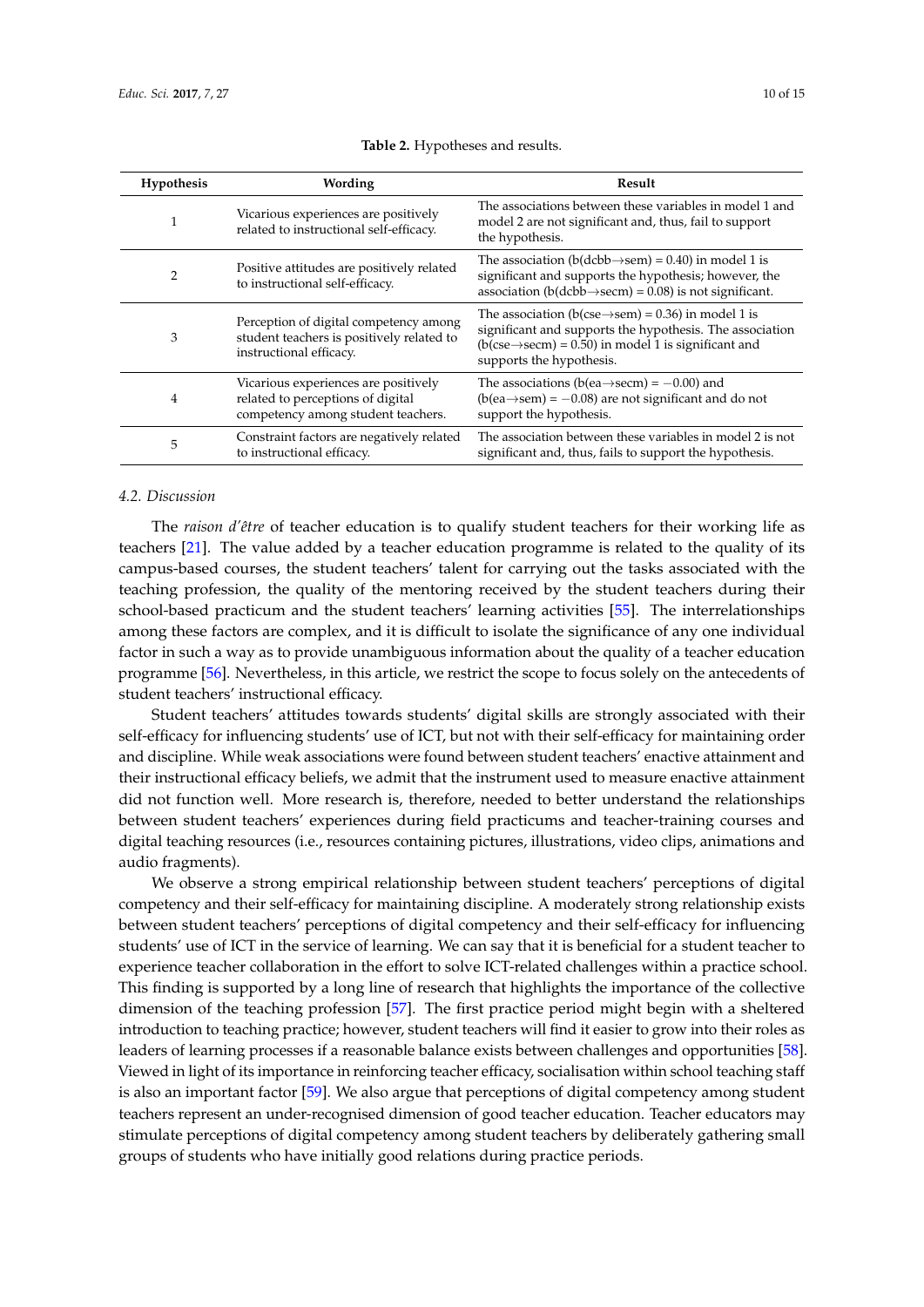|  | $10$ of $\overline{1}$ |
|--|------------------------|

<span id="page-9-0"></span>

| Hypothesis | Wording                                                                                                         | Result                                                                                                                                                                                                                         |
|------------|-----------------------------------------------------------------------------------------------------------------|--------------------------------------------------------------------------------------------------------------------------------------------------------------------------------------------------------------------------------|
|            | Vicarious experiences are positively<br>related to instructional self-efficacy.                                 | The associations between these variables in model 1 and<br>model 2 are not significant and, thus, fail to support<br>the hypothesis.                                                                                           |
| 2          | Positive attitudes are positively related<br>to instructional self-efficacy.                                    | The association (b(dcbb $\rightarrow$ sem) = 0.40) in model 1 is<br>significant and supports the hypothesis; however, the<br>association ( $b$ ( $d$ c $bb \rightarrow$ secm) = 0.08) is not significant.                      |
| 3          | Perception of digital competency among<br>student teachers is positively related to<br>instructional efficacy.  | The association (b(cse $\rightarrow$ sem) = 0.36) in model 1 is<br>significant and supports the hypothesis. The association<br>$(b(\csc \rightarrow \sec m) = 0.50)$ in model 1 is significant and<br>supports the hypothesis. |
| 4          | Vicarious experiences are positively<br>related to perceptions of digital<br>competency among student teachers. | The associations (b(ea $\rightarrow$ secm) = $-0.00$ ) and<br>$(b(ea \rightarrow sem) = -0.08)$ are not significant and do not<br>support the hypothesis.                                                                      |
| 5          | Constraint factors are negatively related<br>to instructional efficacy.                                         | The association between these variables in model 2 is not<br>significant and, thus, fails to support the hypothesis.                                                                                                           |

**Table 2.** Hypotheses and results.

# *4.2. Discussion*

The *raison d'être* of teacher education is to qualify student teachers for their working life as teachers [\[21\]](#page-12-17). The value added by a teacher education programme is related to the quality of its campus-based courses, the student teachers' talent for carrying out the tasks associated with the teaching profession, the quality of the mentoring received by the student teachers during their school-based practicum and the student teachers' learning activities [\[55\]](#page-14-3). The interrelationships among these factors are complex, and it is difficult to isolate the significance of any one individual factor in such a way as to provide unambiguous information about the quality of a teacher education programme [\[56\]](#page-14-4). Nevertheless, in this article, we restrict the scope to focus solely on the antecedents of student teachers' instructional efficacy.

Student teachers' attitudes towards students' digital skills are strongly associated with their self-efficacy for influencing students' use of ICT, but not with their self-efficacy for maintaining order and discipline. While weak associations were found between student teachers' enactive attainment and their instructional efficacy beliefs, we admit that the instrument used to measure enactive attainment did not function well. More research is, therefore, needed to better understand the relationships between student teachers' experiences during field practicums and teacher-training courses and digital teaching resources (i.e., resources containing pictures, illustrations, video clips, animations and audio fragments).

We observe a strong empirical relationship between student teachers' perceptions of digital competency and their self-efficacy for maintaining discipline. A moderately strong relationship exists between student teachers' perceptions of digital competency and their self-efficacy for influencing students' use of ICT in the service of learning. We can say that it is beneficial for a student teacher to experience teacher collaboration in the effort to solve ICT-related challenges within a practice school. This finding is supported by a long line of research that highlights the importance of the collective dimension of the teaching profession [\[57\]](#page-14-5). The first practice period might begin with a sheltered introduction to teaching practice; however, student teachers will find it easier to grow into their roles as leaders of learning processes if a reasonable balance exists between challenges and opportunities [\[58\]](#page-14-6). Viewed in light of its importance in reinforcing teacher efficacy, socialisation within school teaching staff is also an important factor [\[59\]](#page-14-7). We also argue that perceptions of digital competency among student teachers represent an under-recognised dimension of good teacher education. Teacher educators may stimulate perceptions of digital competency among student teachers by deliberately gathering small groups of students who have initially good relations during practice periods.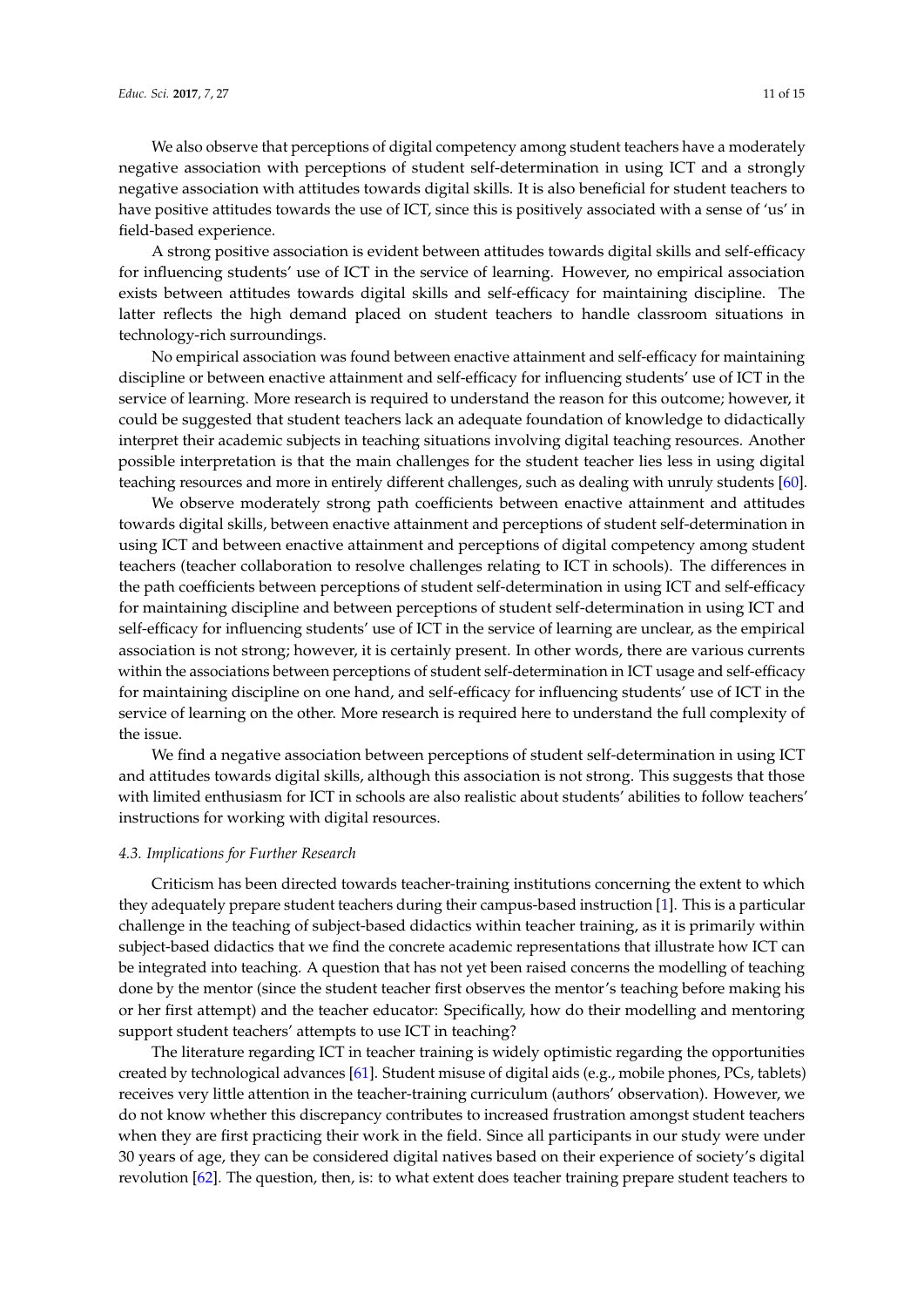We also observe that perceptions of digital competency among student teachers have a moderately negative association with perceptions of student self-determination in using ICT and a strongly negative association with attitudes towards digital skills. It is also beneficial for student teachers to have positive attitudes towards the use of ICT, since this is positively associated with a sense of 'us' in field-based experience.

A strong positive association is evident between attitudes towards digital skills and self-efficacy for influencing students' use of ICT in the service of learning. However, no empirical association exists between attitudes towards digital skills and self-efficacy for maintaining discipline. The latter reflects the high demand placed on student teachers to handle classroom situations in technology-rich surroundings.

No empirical association was found between enactive attainment and self-efficacy for maintaining discipline or between enactive attainment and self-efficacy for influencing students' use of ICT in the service of learning. More research is required to understand the reason for this outcome; however, it could be suggested that student teachers lack an adequate foundation of knowledge to didactically interpret their academic subjects in teaching situations involving digital teaching resources. Another possible interpretation is that the main challenges for the student teacher lies less in using digital teaching resources and more in entirely different challenges, such as dealing with unruly students [\[60\]](#page-14-8).

We observe moderately strong path coefficients between enactive attainment and attitudes towards digital skills, between enactive attainment and perceptions of student self-determination in using ICT and between enactive attainment and perceptions of digital competency among student teachers (teacher collaboration to resolve challenges relating to ICT in schools). The differences in the path coefficients between perceptions of student self-determination in using ICT and self-efficacy for maintaining discipline and between perceptions of student self-determination in using ICT and self-efficacy for influencing students' use of ICT in the service of learning are unclear, as the empirical association is not strong; however, it is certainly present. In other words, there are various currents within the associations between perceptions of student self-determination in ICT usage and self-efficacy for maintaining discipline on one hand, and self-efficacy for influencing students' use of ICT in the service of learning on the other. More research is required here to understand the full complexity of the issue.

We find a negative association between perceptions of student self-determination in using ICT and attitudes towards digital skills, although this association is not strong. This suggests that those with limited enthusiasm for ICT in schools are also realistic about students' abilities to follow teachers' instructions for working with digital resources.

#### *4.3. Implications for Further Research*

Criticism has been directed towards teacher-training institutions concerning the extent to which they adequately prepare student teachers during their campus-based instruction [\[1\]](#page-11-0). This is a particular challenge in the teaching of subject-based didactics within teacher training, as it is primarily within subject-based didactics that we find the concrete academic representations that illustrate how ICT can be integrated into teaching. A question that has not yet been raised concerns the modelling of teaching done by the mentor (since the student teacher first observes the mentor's teaching before making his or her first attempt) and the teacher educator: Specifically, how do their modelling and mentoring support student teachers' attempts to use ICT in teaching?

The literature regarding ICT in teacher training is widely optimistic regarding the opportunities created by technological advances [\[61\]](#page-14-9). Student misuse of digital aids (e.g., mobile phones, PCs, tablets) receives very little attention in the teacher-training curriculum (authors' observation). However, we do not know whether this discrepancy contributes to increased frustration amongst student teachers when they are first practicing their work in the field. Since all participants in our study were under 30 years of age, they can be considered digital natives based on their experience of society's digital revolution [\[62\]](#page-14-10). The question, then, is: to what extent does teacher training prepare student teachers to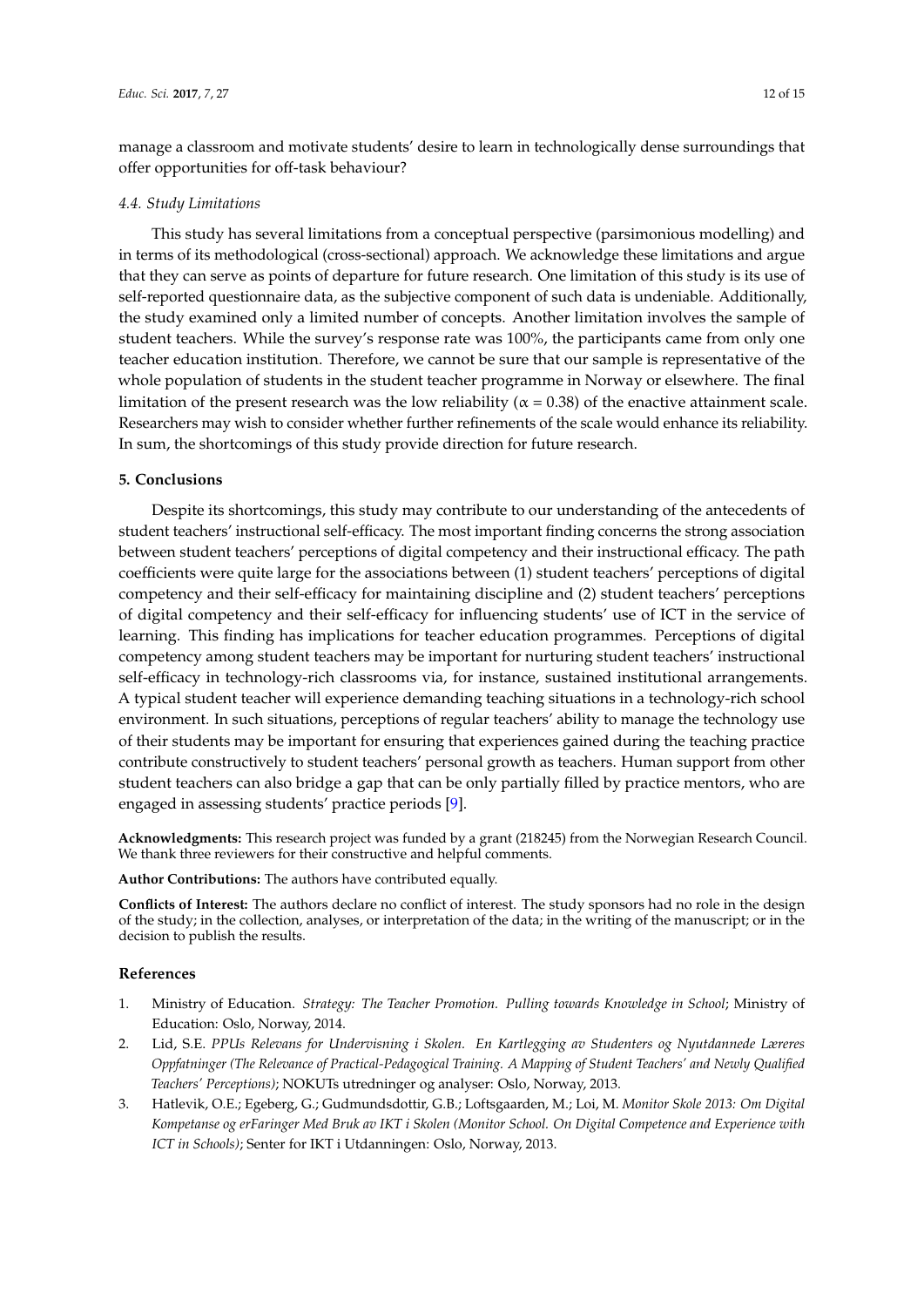manage a classroom and motivate students' desire to learn in technologically dense surroundings that offer opportunities for off-task behaviour?

# *4.4. Study Limitations*

This study has several limitations from a conceptual perspective (parsimonious modelling) and in terms of its methodological (cross-sectional) approach. We acknowledge these limitations and argue that they can serve as points of departure for future research. One limitation of this study is its use of self-reported questionnaire data, as the subjective component of such data is undeniable. Additionally, the study examined only a limited number of concepts. Another limitation involves the sample of student teachers. While the survey's response rate was 100%, the participants came from only one teacher education institution. Therefore, we cannot be sure that our sample is representative of the whole population of students in the student teacher programme in Norway or elsewhere. The final limitation of the present research was the low reliability ( $\alpha$  = 0.38) of the enactive attainment scale. Researchers may wish to consider whether further refinements of the scale would enhance its reliability. In sum, the shortcomings of this study provide direction for future research.

# **5. Conclusions**

Despite its shortcomings, this study may contribute to our understanding of the antecedents of student teachers' instructional self-efficacy. The most important finding concerns the strong association between student teachers' perceptions of digital competency and their instructional efficacy. The path coefficients were quite large for the associations between (1) student teachers' perceptions of digital competency and their self-efficacy for maintaining discipline and (2) student teachers' perceptions of digital competency and their self-efficacy for influencing students' use of ICT in the service of learning. This finding has implications for teacher education programmes. Perceptions of digital competency among student teachers may be important for nurturing student teachers' instructional self-efficacy in technology-rich classrooms via, for instance, sustained institutional arrangements. A typical student teacher will experience demanding teaching situations in a technology-rich school environment. In such situations, perceptions of regular teachers' ability to manage the technology use of their students may be important for ensuring that experiences gained during the teaching practice contribute constructively to student teachers' personal growth as teachers. Human support from other student teachers can also bridge a gap that can be only partially filled by practice mentors, who are engaged in assessing students' practice periods [\[9\]](#page-12-5).

**Acknowledgments:** This research project was funded by a grant (218245) from the Norwegian Research Council. We thank three reviewers for their constructive and helpful comments.

**Author Contributions:** The authors have contributed equally.

**Conflicts of Interest:** The authors declare no conflict of interest. The study sponsors had no role in the design of the study; in the collection, analyses, or interpretation of the data; in the writing of the manuscript; or in the decision to publish the results.

# **References**

- <span id="page-11-0"></span>1. Ministry of Education. *Strategy: The Teacher Promotion. Pulling towards Knowledge in School*; Ministry of Education: Oslo, Norway, 2014.
- <span id="page-11-1"></span>2. Lid, S.E. *PPUs Relevans for Undervisning i Skolen. En Kartlegging av Studenters og Nyutdannede Læreres Oppfatninger (The Relevance of Practical-Pedagogical Training. A Mapping of Student Teachers' and Newly Qualified Teachers' Perceptions)*; NOKUTs utredninger og analyser: Oslo, Norway, 2013.
- <span id="page-11-2"></span>3. Hatlevik, O.E.; Egeberg, G.; Gudmundsdottir, G.B.; Loftsgaarden, M.; Loi, M. *Monitor Skole 2013: Om Digital Kompetanse og erFaringer Med Bruk av IKT i Skolen (Monitor School. On Digital Competence and Experience with ICT in Schools)*; Senter for IKT i Utdanningen: Oslo, Norway, 2013.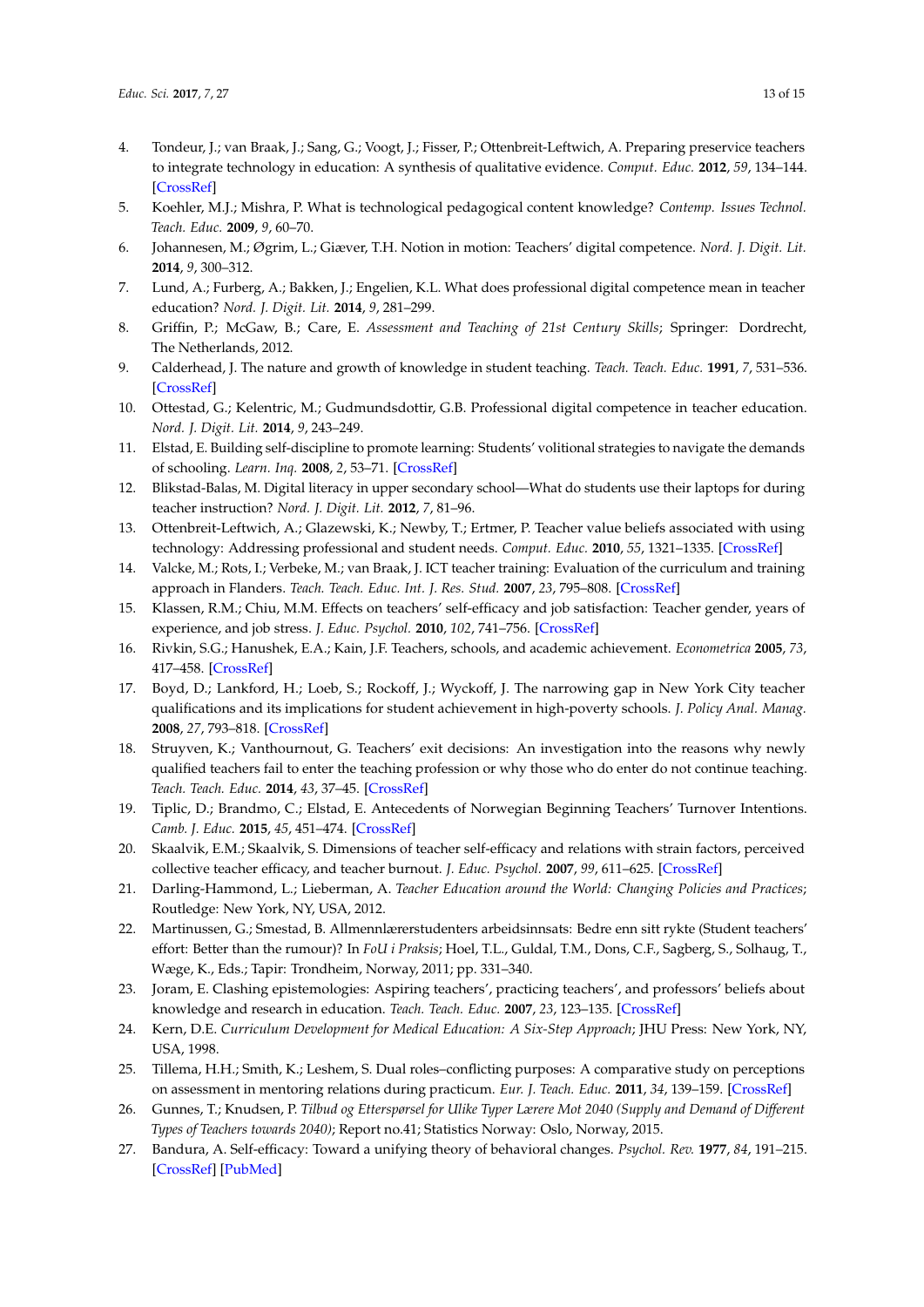- <span id="page-12-0"></span>4. Tondeur, J.; van Braak, J.; Sang, G.; Voogt, J.; Fisser, P.; Ottenbreit-Leftwich, A. Preparing preservice teachers to integrate technology in education: A synthesis of qualitative evidence. *Comput. Educ.* **2012**, *59*, 134–144. [\[CrossRef\]](http://dx.doi.org/10.1016/j.compedu.2011.10.009)
- <span id="page-12-1"></span>5. Koehler, M.J.; Mishra, P. What is technological pedagogical content knowledge? *Contemp. Issues Technol. Teach. Educ.* **2009**, *9*, 60–70.
- <span id="page-12-2"></span>6. Johannesen, M.; Øgrim, L.; Giæver, T.H. Notion in motion: Teachers' digital competence. *Nord. J. Digit. Lit.* **2014**, *9*, 300–312.
- <span id="page-12-3"></span>7. Lund, A.; Furberg, A.; Bakken, J.; Engelien, K.L. What does professional digital competence mean in teacher education? *Nord. J. Digit. Lit.* **2014**, *9*, 281–299.
- <span id="page-12-4"></span>8. Griffin, P.; McGaw, B.; Care, E. *Assessment and Teaching of 21st Century Skills*; Springer: Dordrecht, The Netherlands, 2012.
- <span id="page-12-5"></span>9. Calderhead, J. The nature and growth of knowledge in student teaching. *Teach. Teach. Educ.* **1991**, *7*, 531–536. [\[CrossRef\]](http://dx.doi.org/10.1016/0742-051X(91)90047-S)
- <span id="page-12-6"></span>10. Ottestad, G.; Kelentric, M.; Gudmundsdottir, G.B. Professional digital competence in teacher education. *Nord. J. Digit. Lit.* **2014**, *9*, 243–249.
- <span id="page-12-7"></span>11. Elstad, E. Building self-discipline to promote learning: Students' volitional strategies to navigate the demands of schooling. *Learn. Inq.* **2008**, *2*, 53–71. [\[CrossRef\]](http://dx.doi.org/10.1007/s11519-008-0027-3)
- <span id="page-12-8"></span>12. Blikstad-Balas, M. Digital literacy in upper secondary school—What do students use their laptops for during teacher instruction? *Nord. J. Digit. Lit.* **2012**, *7*, 81–96.
- <span id="page-12-9"></span>13. Ottenbreit-Leftwich, A.; Glazewski, K.; Newby, T.; Ertmer, P. Teacher value beliefs associated with using technology: Addressing professional and student needs. *Comput. Educ.* **2010**, *55*, 1321–1335. [\[CrossRef\]](http://dx.doi.org/10.1016/j.compedu.2010.06.002)
- <span id="page-12-10"></span>14. Valcke, M.; Rots, I.; Verbeke, M.; van Braak, J. ICT teacher training: Evaluation of the curriculum and training approach in Flanders. *Teach. Teach. Educ. Int. J. Res. Stud.* **2007**, *23*, 795–808. [\[CrossRef\]](http://dx.doi.org/10.1016/j.tate.2007.02.004)
- <span id="page-12-11"></span>15. Klassen, R.M.; Chiu, M.M. Effects on teachers' self-efficacy and job satisfaction: Teacher gender, years of experience, and job stress. *J. Educ. Psychol.* **2010**, *102*, 741–756. [\[CrossRef\]](http://dx.doi.org/10.1037/a0019237)
- <span id="page-12-12"></span>16. Rivkin, S.G.; Hanushek, E.A.; Kain, J.F. Teachers, schools, and academic achievement. *Econometrica* **2005**, *73*, 417–458. [\[CrossRef\]](http://dx.doi.org/10.1111/j.1468-0262.2005.00584.x)
- <span id="page-12-13"></span>17. Boyd, D.; Lankford, H.; Loeb, S.; Rockoff, J.; Wyckoff, J. The narrowing gap in New York City teacher qualifications and its implications for student achievement in high-poverty schools. *J. Policy Anal. Manag.* **2008**, *27*, 793–818. [\[CrossRef\]](http://dx.doi.org/10.1002/pam.20377)
- <span id="page-12-14"></span>18. Struyven, K.; Vanthournout, G. Teachers' exit decisions: An investigation into the reasons why newly qualified teachers fail to enter the teaching profession or why those who do enter do not continue teaching. *Teach. Teach. Educ.* **2014**, *43*, 37–45. [\[CrossRef\]](http://dx.doi.org/10.1016/j.tate.2014.06.002)
- <span id="page-12-15"></span>19. Tiplic, D.; Brandmo, C.; Elstad, E. Antecedents of Norwegian Beginning Teachers' Turnover Intentions. *Camb. J. Educ.* **2015**, *45*, 451–474. [\[CrossRef\]](http://dx.doi.org/10.1080/0305764X.2014.987642)
- <span id="page-12-16"></span>20. Skaalvik, E.M.; Skaalvik, S. Dimensions of teacher self-efficacy and relations with strain factors, perceived collective teacher efficacy, and teacher burnout. *J. Educ. Psychol.* **2007**, *99*, 611–625. [\[CrossRef\]](http://dx.doi.org/10.1037/0022-0663.99.3.611)
- <span id="page-12-17"></span>21. Darling-Hammond, L.; Lieberman, A. *Teacher Education around the World: Changing Policies and Practices*; Routledge: New York, NY, USA, 2012.
- <span id="page-12-18"></span>22. Martinussen, G.; Smestad, B. Allmennlærerstudenters arbeidsinnsats: Bedre enn sitt rykte (Student teachers' effort: Better than the rumour)? In *FoU i Praksis*; Hoel, T.L., Guldal, T.M., Dons, C.F., Sagberg, S., Solhaug, T., Wæge, K., Eds.; Tapir: Trondheim, Norway, 2011; pp. 331–340.
- <span id="page-12-19"></span>23. Joram, E. Clashing epistemologies: Aspiring teachers', practicing teachers', and professors' beliefs about knowledge and research in education. *Teach. Teach. Educ.* **2007**, *23*, 123–135. [\[CrossRef\]](http://dx.doi.org/10.1016/j.tate.2006.04.032)
- <span id="page-12-20"></span>24. Kern, D.E. *Curriculum Development for Medical Education: A Six-Step Approach*; JHU Press: New York, NY, USA, 1998.
- <span id="page-12-21"></span>25. Tillema, H.H.; Smith, K.; Leshem, S. Dual roles–conflicting purposes: A comparative study on perceptions on assessment in mentoring relations during practicum. *Eur. J. Teach. Educ.* **2011**, *34*, 139–159. [\[CrossRef\]](http://dx.doi.org/10.1080/02619768.2010.543672)
- <span id="page-12-22"></span>26. Gunnes, T.; Knudsen, P. *Tilbud og Etterspørsel for Ulike Typer Lærere Mot 2040 (Supply and Demand of Different Types of Teachers towards 2040)*; Report no.41; Statistics Norway: Oslo, Norway, 2015.
- <span id="page-12-23"></span>27. Bandura, A. Self-efficacy: Toward a unifying theory of behavioral changes. *Psychol. Rev.* **1977**, *84*, 191–215. [\[CrossRef\]](http://dx.doi.org/10.1037/0033-295X.84.2.191) [\[PubMed\]](http://www.ncbi.nlm.nih.gov/pubmed/847061)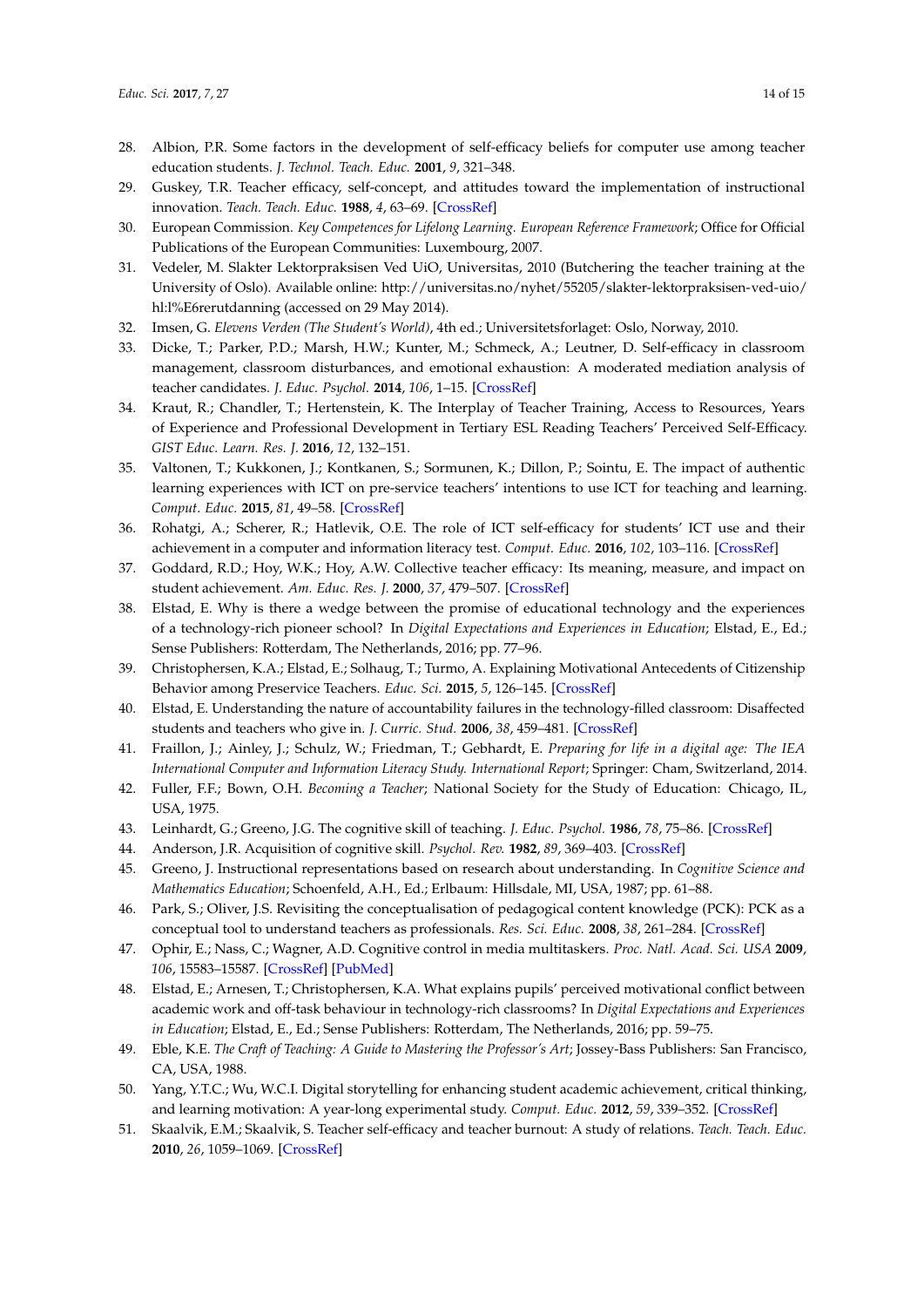- <span id="page-13-0"></span>28. Albion, P.R. Some factors in the development of self-efficacy beliefs for computer use among teacher education students. *J. Technol. Teach. Educ.* **2001**, *9*, 321–348.
- <span id="page-13-1"></span>29. Guskey, T.R. Teacher efficacy, self-concept, and attitudes toward the implementation of instructional innovation. *Teach. Teach. Educ.* **1988**, *4*, 63–69. [\[CrossRef\]](http://dx.doi.org/10.1016/0742-051X(88)90025-X)
- <span id="page-13-2"></span>30. European Commission. *Key Competences for Lifelong Learning. European Reference Framework*; Office for Official Publications of the European Communities: Luxembourg, 2007.
- <span id="page-13-3"></span>31. Vedeler, M. Slakter Lektorpraksisen Ved UiO, Universitas, 2010 (Butchering the teacher training at the University of Oslo). Available online: [http://universitas.no/nyhet/55205/slakter-lektorpraksisen-ved-uio/](http://universitas.no/nyhet/55205/slakter-lektorpraksisen-ved-uio/hl:l%E6rerutdanning) [hl:l%E6rerutdanning](http://universitas.no/nyhet/55205/slakter-lektorpraksisen-ved-uio/hl:l%E6rerutdanning) (accessed on 29 May 2014).
- <span id="page-13-4"></span>32. Imsen, G. *Elevens Verden (The Student's World)*, 4th ed.; Universitetsforlaget: Oslo, Norway, 2010.
- <span id="page-13-5"></span>33. Dicke, T.; Parker, P.D.; Marsh, H.W.; Kunter, M.; Schmeck, A.; Leutner, D. Self-efficacy in classroom management, classroom disturbances, and emotional exhaustion: A moderated mediation analysis of teacher candidates. *J. Educ. Psychol.* **2014**, *106*, 1–15. [\[CrossRef\]](http://dx.doi.org/10.1037/a0035504)
- <span id="page-13-6"></span>34. Kraut, R.; Chandler, T.; Hertenstein, K. The Interplay of Teacher Training, Access to Resources, Years of Experience and Professional Development in Tertiary ESL Reading Teachers' Perceived Self-Efficacy. *GIST Educ. Learn. Res. J.* **2016**, *12*, 132–151.
- <span id="page-13-7"></span>35. Valtonen, T.; Kukkonen, J.; Kontkanen, S.; Sormunen, K.; Dillon, P.; Sointu, E. The impact of authentic learning experiences with ICT on pre-service teachers' intentions to use ICT for teaching and learning. *Comput. Educ.* **2015**, *81*, 49–58. [\[CrossRef\]](http://dx.doi.org/10.1016/j.compedu.2014.09.008)
- <span id="page-13-8"></span>36. Rohatgi, A.; Scherer, R.; Hatlevik, O.E. The role of ICT self-efficacy for students' ICT use and their achievement in a computer and information literacy test. *Comput. Educ.* **2016**, *102*, 103–116. [\[CrossRef\]](http://dx.doi.org/10.1016/j.compedu.2016.08.001)
- <span id="page-13-9"></span>37. Goddard, R.D.; Hoy, W.K.; Hoy, A.W. Collective teacher efficacy: Its meaning, measure, and impact on student achievement. *Am. Educ. Res. J.* **2000**, *37*, 479–507. [\[CrossRef\]](http://dx.doi.org/10.3102/00028312037002479)
- <span id="page-13-10"></span>38. Elstad, E. Why is there a wedge between the promise of educational technology and the experiences of a technology-rich pioneer school? In *Digital Expectations and Experiences in Education*; Elstad, E., Ed.; Sense Publishers: Rotterdam, The Netherlands, 2016; pp. 77–96.
- <span id="page-13-11"></span>39. Christophersen, K.A.; Elstad, E.; Solhaug, T.; Turmo, A. Explaining Motivational Antecedents of Citizenship Behavior among Preservice Teachers. *Educ. Sci.* **2015**, *5*, 126–145. [\[CrossRef\]](http://dx.doi.org/10.3390/educsci5020126)
- <span id="page-13-12"></span>40. Elstad, E. Understanding the nature of accountability failures in the technology-filled classroom: Disaffected students and teachers who give in. *J. Curric. Stud.* **2006**, *38*, 459–481. [\[CrossRef\]](http://dx.doi.org/10.1080/00220270500508901)
- <span id="page-13-13"></span>41. Fraillon, J.; Ainley, J.; Schulz, W.; Friedman, T.; Gebhardt, E. *Preparing for life in a digital age: The IEA International Computer and Information Literacy Study. International Report*; Springer: Cham, Switzerland, 2014.
- <span id="page-13-14"></span>42. Fuller, F.F.; Bown, O.H. *Becoming a Teacher*; National Society for the Study of Education: Chicago, IL, USA, 1975.
- <span id="page-13-15"></span>43. Leinhardt, G.; Greeno, J.G. The cognitive skill of teaching. *J. Educ. Psychol.* **1986**, *78*, 75–86. [\[CrossRef\]](http://dx.doi.org/10.1037/0022-0663.78.2.75)
- <span id="page-13-16"></span>44. Anderson, J.R. Acquisition of cognitive skill. *Psychol. Rev.* **1982**, *89*, 369–403. [\[CrossRef\]](http://dx.doi.org/10.1037/0033-295X.89.4.369)
- <span id="page-13-17"></span>45. Greeno, J. Instructional representations based on research about understanding. In *Cognitive Science and Mathematics Education*; Schoenfeld, A.H., Ed.; Erlbaum: Hillsdale, MI, USA, 1987; pp. 61–88.
- <span id="page-13-18"></span>46. Park, S.; Oliver, J.S. Revisiting the conceptualisation of pedagogical content knowledge (PCK): PCK as a conceptual tool to understand teachers as professionals. *Res. Sci. Educ.* **2008**, *38*, 261–284. [\[CrossRef\]](http://dx.doi.org/10.1007/s11165-007-9049-6)
- <span id="page-13-19"></span>47. Ophir, E.; Nass, C.; Wagner, A.D. Cognitive control in media multitaskers. *Proc. Natl. Acad. Sci. USA* **2009**, *106*, 15583–15587. [\[CrossRef\]](http://dx.doi.org/10.1073/pnas.0903620106) [\[PubMed\]](http://www.ncbi.nlm.nih.gov/pubmed/19706386)
- <span id="page-13-20"></span>48. Elstad, E.; Arnesen, T.; Christophersen, K.A. What explains pupils' perceived motivational conflict between academic work and off-task behaviour in technology-rich classrooms? In *Digital Expectations and Experiences in Education*; Elstad, E., Ed.; Sense Publishers: Rotterdam, The Netherlands, 2016; pp. 59–75.
- <span id="page-13-21"></span>49. Eble, K.E. *The Craft of Teaching: A Guide to Mastering the Professor's Art*; Jossey-Bass Publishers: San Francisco, CA, USA, 1988.
- <span id="page-13-22"></span>50. Yang, Y.T.C.; Wu, W.C.I. Digital storytelling for enhancing student academic achievement, critical thinking, and learning motivation: A year-long experimental study. *Comput. Educ.* **2012**, *59*, 339–352. [\[CrossRef\]](http://dx.doi.org/10.1016/j.compedu.2011.12.012)
- <span id="page-13-23"></span>51. Skaalvik, E.M.; Skaalvik, S. Teacher self-efficacy and teacher burnout: A study of relations. *Teach. Teach. Educ.* **2010**, *26*, 1059–1069. [\[CrossRef\]](http://dx.doi.org/10.1016/j.tate.2009.11.001)